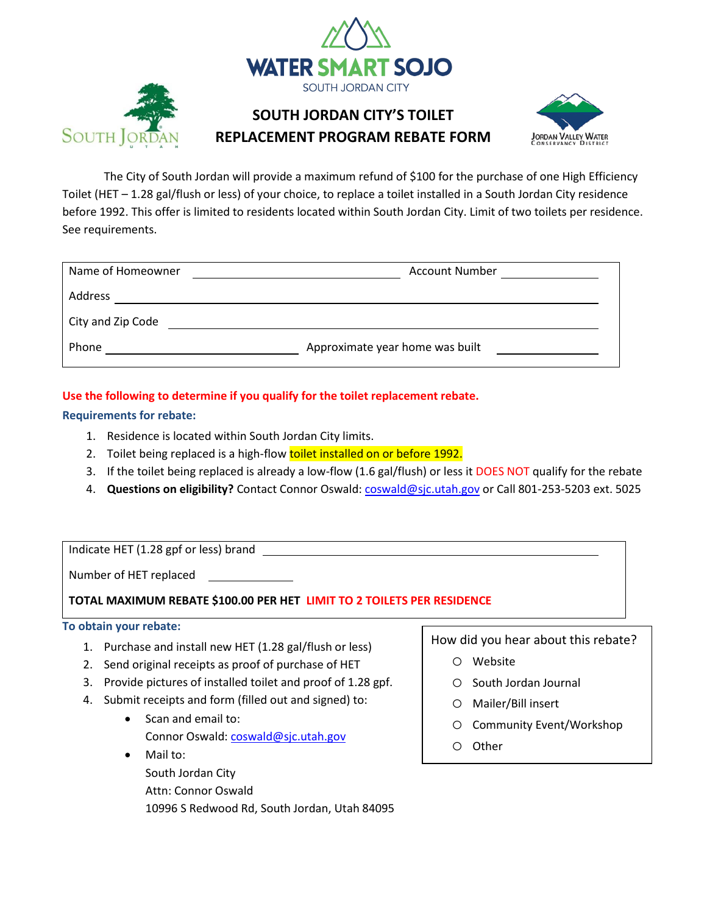



The City of South Jordan will provide a maximum refund of \$100 for the purchase of one High Efficiency Toilet (HET – 1.28 gal/flush or less) of your choice, to replace a toilet installed in a South Jordan City residence before 1992. This offer is limited to residents located within South Jordan City. Limit of two toilets per residence. See requirements.

| Name of Homeowner | <b>Account Number</b>           |
|-------------------|---------------------------------|
| Address           |                                 |
| City and Zip Code |                                 |
| Phone             | Approximate year home was built |

# **Use the following to determine if you qualify for the toilet replacement rebate.**

## **Requirements for rebate:**

- 1. Residence is located within South Jordan City limits.
- 2. Toilet being replaced is a high-flow toilet installed on or before 1992.
- 3. If the toilet being replaced is already a low-flow (1.6 gal/flush) or less it DOES NOT qualify for the rebate
- 4. **Questions on eligibility?** Contact Connor Oswald: [coswald@sjc.utah.gov](mailto:coswald@sjc.utah.gov) or Call 801-253-5203 ext. 5025

Indicate HET (1.28 gpf or less) brand

Number of HET replaced

**TOTAL MAXIMUM REBATE \$100.00 PER HET LIMIT TO 2 TOILETS PER RESIDENCE**

#### **To obtain your rebate:**

- 1. Purchase and install new HET (1.28 gal/flush or less)
- 2. Send original receipts as proof of purchase of HET
- 3. Provide pictures of installed toilet and proof of 1.28 gpf.
- 4. Submit receipts and form (filled out and signed) to:
	- Scan and email to:

Connor Oswald: [coswald@sjc.utah.gov](mailto:coswald@sjc.utah.gov)

- Mail to:
	- South Jordan City
	- Attn: Connor Oswald

10996 S Redwood Rd, South Jordan, Utah 84095

How did you hear about this rebate?

- o Website
- o South Jordan Journal
- o Mailer/Bill insert
- o Community Event/Workshop
- o Other